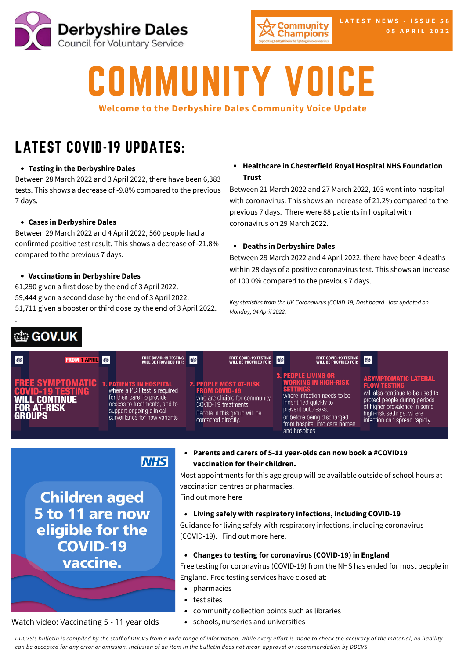



# COMMUNITY VOICE

## **Welcome to the Derbyshire Dales Community Voice Update**

## LATEST COVID-19 UPDATES:

## **Testing in the [Derbyshire](https://www.gov.uk/guidance/covid-19-coronavirus-restrictions-what-you-can-and-cannot-do?priority-taxon=774cee22-d896-44c1-a611-e3109cce8eae) Dales**

Between 28 March 2022 and 3 April 2022, there have been 6,383 tests. This shows a decrease of -9.8% compared to the previous 7 days.

## **Cases in [Derbyshire](https://www.gov.uk/guidance/covid-19-coronavirus-restrictions-what-you-can-and-cannot-do?priority-taxon=774cee22-d896-44c1-a611-e3109cce8eae) Dales**

Between 29 March 2022 and 4 April 2022, 560 people had a [confirmed](https://www.gov.uk/guidance/covid-19-coronavirus-restrictions-what-you-can-and-cannot-do?priority-taxon=774cee22-d896-44c1-a611-e3109cce8eae) positive test result. This shows a decrease of -21.8% compared to the previous 7 days.

## **[Vaccinations](https://www.gov.uk/guidance/covid-19-coronavirus-restrictions-what-you-can-and-cannot-do?priority-taxon=774cee22-d896-44c1-a611-e3109cce8eae) in Derbyshire Dales**

61,290 given a first dose by the end of 3 April 2022. 59,444 given a second dose by the end of 3 April 2022. 51,711 given a booster or third dose by the end of 3 April 2022.

## ab GOV.UK

.

## **Healthcare in Chesterfield Royal Hospital NHS Foundation Trust**

Between 21 March 2022 and 27 March 2022, 103 went into hospital with coronavirus. This shows an increase of 21.2% compared to the previous 7 days. There were 88 patients in hospital with coronavirus on 29 March 2022.

#### **Deaths in Derbyshire Dales**

Between 29 March 2022 and 4 April 2022, there have been 4 deaths within 28 days of a positive coronavirus test. This shows an increase of 100.0% compared to the previous 7 days.

*Key statistics from the UK Coronavirus (COVID-19) Dashboard - last updated on Monday, 04 April 2022.*

| 戀 | <b>FROM 1 APRIL</b> 参                                                                            | FREE COVID-19 TESTING<br>Will be provided for:                                                                                                                                            | 参 | FREE COVID-19 TESTING <b>35</b>                                                                                                                                        | FREE COVID-19 TESTING<br>Will be provided for:                                                                                                                                                                                              | 燃                                                                                                                                                                                                                     |
|---|--------------------------------------------------------------------------------------------------|-------------------------------------------------------------------------------------------------------------------------------------------------------------------------------------------|---|------------------------------------------------------------------------------------------------------------------------------------------------------------------------|---------------------------------------------------------------------------------------------------------------------------------------------------------------------------------------------------------------------------------------------|-----------------------------------------------------------------------------------------------------------------------------------------------------------------------------------------------------------------------|
|   | <b>FREE SYMPTOMATIC</b><br><b>COVID-19 TESTING</b><br><b>WILL CONTINUE</b><br><b>FOR AT-RISK</b> | <b>1. PATIENTS IN HOSPITAL</b><br>where a PCR test is required<br>for their care, to provide<br>access to treatments, and to<br>support ongoing clinical<br>surveillance for new variants |   | <b>2. PEOPLE MOST AT-RISK</b><br><b>FROM COVID-19</b><br>who are eligible for community<br>COVID-19 treatments.<br>People in this group will be<br>contacted directly. | <b>3. PEOPLE LIVING OR</b><br><b>WORKING IN HIGH-RISK</b><br><b>SETTINGS</b><br>where infection needs to be<br>indentified quickly to<br>prevent outbreaks,<br>or before being discharged<br>from hospital into care homes<br>and hospices. | <b>ASYMPTOMATIC LATERAL</b><br><b>FLOW TESTING</b><br>will also continue to be used to<br>protect people during periods<br>of higher prevalence in some<br>high-risk settings, where<br>infection can spread rapidly. |

## **NHS**

**Children aged** 5 to 11 are now eligible for the **COVID-19** vaccine.

Watch video: [Vaccinating](https://www.youtube.com/watch?v=AxzLPnfMVQ4) 5 - 11 year olds

#### **Parents and carers of 5-11 year-olds can now book a #COVID19 vaccination for their children.**

Most appointments for this age group will be available outside of school hours at vaccination centres or pharmacies.

Find out more [here](https://www.nhs.uk/conditions/coronavirus-covid-19/coronavirus-vaccination/book-coronavirus-vaccination/?fbclid=IwAR3Z7TDLWZjnnPmv-hdTnRwmIo8CTXiZTrz_hl3S1jLtgv4fVtu7FAEthVo)

**Living safely with respiratory infections, including COVID-19**

Guidance for living safely with respiratory infections, including coronavirus (COVID-19). Find out more [here.](https://www.gov.uk/guidance/living-safely-with-respiratory-infections-including-covid-19)

**Changes to testing for coronavirus (COVID-19) in England**

Free testing for coronavirus (COVID-19) from the NHS has ended for most people in England. Free testing services have closed at:

- pharmacies
- test sites
- community collection points such as libraries
- $\bullet$ schools, nurseries and universities

DDCVS's bulletin is compiled by the staff of DDCVS from a wide range of information. While every effort is made to check the accuracy of the material, no liability can be accepted for any error or omission. Inclusion of an item in the bulletin does not mean approval or recommendation by DDCVS.